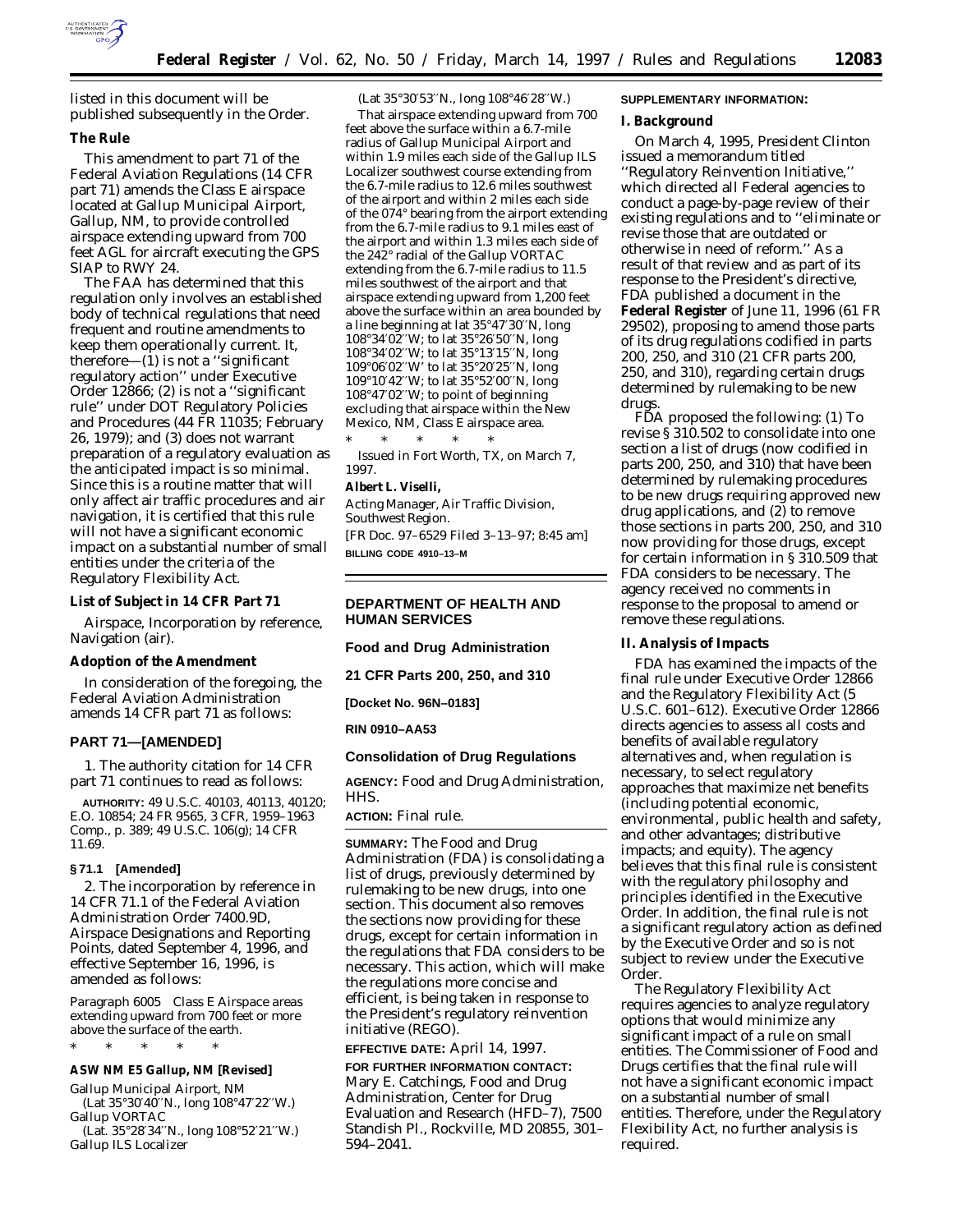

listed in this document will be published subsequently in the Order.

### **The Rule**

This amendment to part 71 of the Federal Aviation Regulations (14 CFR part 71) amends the Class E airspace located at Gallup Municipal Airport, Gallup, NM, to provide controlled airspace extending upward from 700 feet AGL for aircraft executing the GPS SIAP to RWY 24.

The FAA has determined that this regulation only involves an established body of technical regulations that need frequent and routine amendments to keep them operationally current. It, therefore—(1) is not a ''significant regulatory action'' under Executive Order 12866; (2) is not a ''significant rule'' under DOT Regulatory Policies and Procedures (44 FR 11035; February 26, 1979); and (3) does not warrant preparation of a regulatory evaluation as the anticipated impact is so minimal. Since this is a routine matter that will only affect air traffic procedures and air navigation, it is certified that this rule will not have a significant economic impact on a substantial number of small entities under the criteria of the Regulatory Flexibility Act.

**List of Subject in 14 CFR Part 71**

Airspace, Incorporation by reference, Navigation (air).

## **Adoption of the Amendment**

In consideration of the foregoing, the Federal Aviation Administration amends 14 CFR part 71 as follows:

#### **PART 71—[AMENDED]**

1. The authority citation for 14 CFR part 71 continues to read as follows:

**AUTHORITY:** 49 U.S.C. 40103, 40113, 40120; E.O. 10854; 24 FR 9565, 3 CFR, 1959–1963 Comp., p. 389; 49 U.S.C. 106(g); 14 CFR 11.69.

#### **§ 71.1 [Amended]**

2. The incorporation by reference in 14 CFR 71.1 of the Federal Aviation Administration Order 7400.9D, *Airspace Designations and Reporting Points,* dated September 4, 1996, and effective September 16, 1996, is amended as follows:

*Paragraph 6005 Class E Airspace areas extending upward from 700 feet or more above the surface of the earth.*

\* \* \* \* \*

**ASW NM E5 Gallup, NM [Revised]**

Gallup Municipal Airport, NM (Lat 35°30′40′′N., long 108°47′22′′W.) Gallup VORTAC

(Lat. 35°28′34′′N., long 108°52′21′′W.) Gallup ILS Localizer

(Lat 35°30′53′′N., long 108°46′28′′W.)

That airspace extending upward from 700 feet above the surface within a 6.7-mile radius of Gallup Municipal Airport and within 1.9 miles each side of the Gallup ILS Localizer southwest course extending from the 6.7-mile radius to 12.6 miles southwest of the airport and within 2 miles each side of the 074° bearing from the airport extending from the 6.7-mile radius to 9.1 miles east of the airport and within 1.3 miles each side of the 242° radial of the Gallup VORTAC extending from the 6.7-mile radius to 11.5 miles southwest of the airport and that airspace extending upward from 1,200 feet above the surface within an area bounded by a line beginning at lat 35°47′30′′N, long 108°34′02′′W; to lat 35°26′50′′N, long 108°34′02′′W; to lat 35°13′15′′N, long 109°06′02′′W' to lat 35°20′25′′N, long 109°10′42′′W; to lat 35°52′00′′N, long 108°47′02′′W; to point of beginning excluding that airspace within the New Mexico, NM, Class E airspace area.

\* \* \* \* \* Issued in Fort Worth, TX, on March 7, 1997.

**Albert L. Viselli,**

*Acting Manager, Air Traffic Division, Southwest Region.* [FR Doc. 97–6529 Filed 3–13–97; 8:45 am] **BILLING CODE 4910–13–M**

#### **DEPARTMENT OF HEALTH AND HUMAN SERVICES**

**Food and Drug Administration**

**21 CFR Parts 200, 250, and 310**

**[Docket No. 96N–0183]**

#### **RIN 0910–AA53**

## **Consolidation of Drug Regulations**

**AGENCY:** Food and Drug Administration, HHS.

#### **ACTION:** Final rule.

**SUMMARY:** The Food and Drug Administration (FDA) is consolidating a list of drugs, previously determined by rulemaking to be new drugs, into one section. This document also removes the sections now providing for these drugs, except for certain information in the regulations that FDA considers to be necessary. This action, which will make the regulations more concise and efficient, is being taken in response to the President's regulatory reinvention initiative (REGO).

**EFFECTIVE DATE:** April 14, 1997.

**FOR FURTHER INFORMATION CONTACT:** Mary E. Catchings, Food and Drug Administration, Center for Drug Evaluation and Research (HFD–7), 7500 Standish Pl., Rockville, MD 20855, 301– 594–2041.

# **SUPPLEMENTARY INFORMATION:**

**I. Background**

On March 4, 1995, President Clinton issued a memorandum titled ''Regulatory Reinvention Initiative,'' which directed all Federal agencies to conduct a page-by-page review of their existing regulations and to ''eliminate or revise those that are outdated or otherwise in need of reform.'' As a result of that review and as part of its response to the President's directive, FDA published a document in the **Federal Register** of June 11, 1996 (61 FR 29502), proposing to amend those parts of its drug regulations codified in parts 200, 250, and 310 (21 CFR parts 200, 250, and 310), regarding certain drugs determined by rulemaking to be new drugs.

FDA proposed the following: (1) To revise § 310.502 to consolidate into one section a list of drugs (now codified in parts 200, 250, and 310) that have been determined by rulemaking procedures to be new drugs requiring approved new drug applications, and (2) to remove those sections in parts 200, 250, and 310 now providing for those drugs, except for certain information in § 310.509 that FDA considers to be necessary. The agency received no comments in response to the proposal to amend or remove these regulations.

**II. Analysis of Impacts**

FDA has examined the impacts of the final rule under Executive Order 12866 and the Regulatory Flexibility Act (5 U.S.C. 601–612). Executive Order 12866 directs agencies to assess all costs and benefits of available regulatory alternatives and, when regulation is necessary, to select regulatory approaches that maximize net benefits (including potential economic, environmental, public health and safety, and other advantages; distributive impacts; and equity). The agency believes that this final rule is consistent with the regulatory philosophy and principles identified in the Executive Order. In addition, the final rule is not a significant regulatory action as defined by the Executive Order and so is not subject to review under the Executive Order.

The Regulatory Flexibility Act requires agencies to analyze regulatory options that would minimize any significant impact of a rule on small entities. The Commissioner of Food and Drugs certifies that the final rule will not have a significant economic impact on a substantial number of small entities. Therefore, under the Regulatory Flexibility Act, no further analysis is required.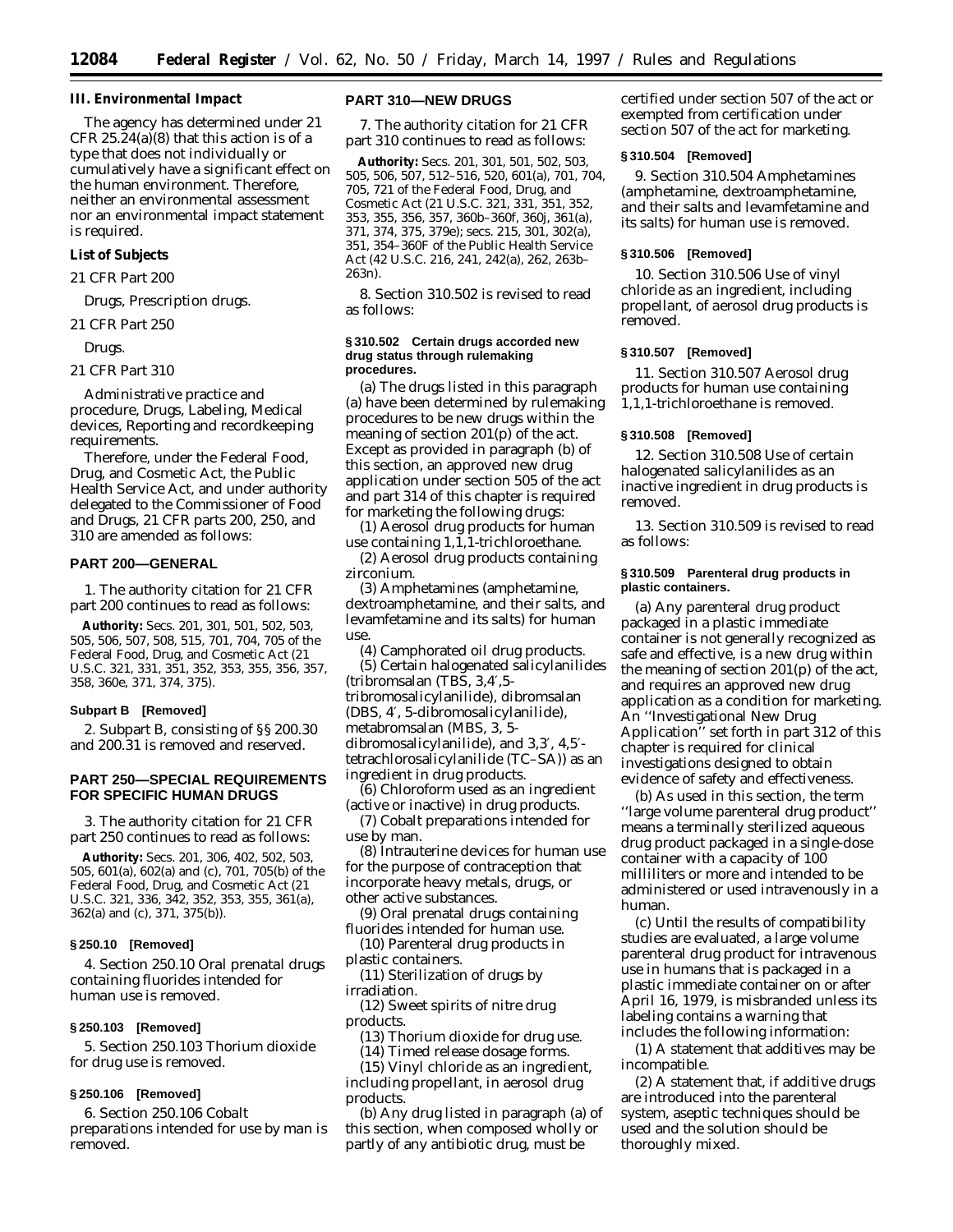**III. Environmental Impact**

The agency has determined under 21 CFR 25.24(a)(8) that this action is of a type that does not individually or cumulatively have a significant effect on the human environment. Therefore, neither an environmental assessment nor an environmental impact statement is required.

**List of Subjects**

*21 CFR Part 200*

Drugs, Prescription drugs.

*21 CFR Part 250*

Drugs.

#### *21 CFR Part 310*

Administrative practice and procedure, Drugs, Labeling, Medical devices, Reporting and recordkeeping requirements.

Therefore, under the Federal Food, Drug, and Cosmetic Act, the Public Health Service Act, and under authority delegated to the Commissioner of Food and Drugs, 21 CFR parts 200, 250, and 310 are amended as follows:

### **PART 200—GENERAL**

1. The authority citation for 21 CFR part 200 continues to read as follows:

**Authority:** Secs. 201, 301, 501, 502, 503, 505, 506, 507, 508, 515, 701, 704, 705 of the Federal Food, Drug, and Cosmetic Act (21 U.S.C. 321, 331, 351, 352, 353, 355, 356, 357, 358, 360e, 371, 374, 375).

#### **Subpart B [Removed]**

2. Subpart B, consisting of §§ 200.30 and 200.31 is removed and reserved.

### **PART 250—SPECIAL REQUIREMENTS FOR SPECIFIC HUMAN DRUGS**

3. The authority citation for 21 CFR part 250 continues to read as follows:

**Authority:** Secs. 201, 306, 402, 502, 503, 505, 601(a), 602(a) and (c), 701, 705(b) of the Federal Food, Drug, and Cosmetic Act (21 U.S.C. 321, 336, 342, 352, 353, 355, 361(a), 362(a) and (c), 371, 375(b)).

### **§ 250.10 [Removed]**

4. Section 250.10 *Oral prenatal drugs containing fluorides intended for human use* is removed.

#### **§ 250.103 [Removed]**

5. Section 250.103 *Thorium dioxide for drug use* is removed.

#### **§ 250.106 [Removed]**

6. Section 250.106 *Cobalt preparations intended for use by man* is removed.

### **PART 310—NEW DRUGS**

7. The authority citation for 21 CFR part 310 continues to read as follows:

**Authority:** Secs. 201, 301, 501, 502, 503, 505, 506, 507, 512–516, 520, 601(a), 701, 704, 705, 721 of the Federal Food, Drug, and Cosmetic Act (21 U.S.C. 321, 331, 351, 352, 353, 355, 356, 357, 360b–360f, 360j, 361(a), 371, 374, 375, 379e); secs. 215, 301, 302(a), 351, 354–360F of the Public Health Service Act (42 U.S.C. 216, 241, 242(a), 262, 263b– 263n).

8. Section 310.502 is revised to read as follows:

#### **§ 310.502 Certain drugs accorded new drug status through rulemaking procedures.**

(a) The drugs listed in this paragraph (a) have been determined by rulemaking procedures to be new drugs within the meaning of section 201(p) of the act. Except as provided in paragraph (b) of this section, an approved new drug application under section 505 of the act and part 314 of this chapter is required for marketing the following drugs:

(1) Aerosol drug products for human use containing 1,1,1-trichloroethane.

(2) Aerosol drug products containing zirconium.

(3) Amphetamines (amphetamine, dextroamphetamine, and their salts, and levamfetamine and its salts) for human use.

(4) Camphorated oil drug products. (5) Certain halogenated salicylanilides (tribromsalan (TBS, 3,4′,5 tribromosalicylanilide), dibromsalan (DBS, 4′, 5-dibromosalicylanilide), metabromsalan (MBS, 3, 5 dibromosalicylanilide), and 3,3′, 4,5′ tetrachlorosalicylanilide (TC–SA)) as an ingredient in drug products.

(6) Chloroform used as an ingredient (active or inactive) in drug products.

(7) Cobalt preparations intended for use by man.

(8) Intrauterine devices for human use for the purpose of contraception that incorporate heavy metals, drugs, or other active substances.

(9) Oral prenatal drugs containing fluorides intended for human use.

(10) Parenteral drug products in plastic containers.

(11) Sterilization of drugs by irradiation.

(12) Sweet spirits of nitre drug products.

(13) Thorium dioxide for drug use.

(14) Timed release dosage forms.

(15) Vinyl chloride as an ingredient, including propellant, in aerosol drug products.

(b) Any drug listed in paragraph (a) of this section, when composed wholly or partly of any antibiotic drug, must be

certified under section 507 of the act or exempted from certification under section 507 of the act for marketing.

#### **§ 310.504 [Removed]**

9. Section 310.504 *Amphetamines (amphetamine, dextroamphetamine, and their salts and levamfetamine and its salts) for human use* is removed.

#### **§ 310.506 [Removed]**

10. Section 310.506 *Use of vinyl chloride as an ingredient, including propellant, of aerosol drug products* is removed.

#### **§ 310.507 [Removed]**

11. Section 310.507 *Aerosol drug products for human use containing 1,1,1-trichloroethane* is removed.

### **§ 310.508 [Removed]**

12. Section 310.508 *Use of certain halogenated salicylanilides as an inactive ingredient in drug products* is removed.

13. Section 310.509 is revised to read as follows:

#### **§ 310.509 Parenteral drug products in plastic containers.**

(a) Any parenteral drug product packaged in a plastic immediate container is not generally recognized as safe and effective, is a new drug within the meaning of section 201(p) of the act, and requires an approved new drug application as a condition for marketing. An ''Investigational New Drug Application'' set forth in part 312 of this chapter is required for clinical investigations designed to obtain evidence of safety and effectiveness.

(b) As used in this section, the term ''large volume parenteral drug product'' means a terminally sterilized aqueous drug product packaged in a single-dose container with a capacity of 100 milliliters or more and intended to be administered or used intravenously in a human.

(c) Until the results of compatibility studies are evaluated, a large volume parenteral drug product for intravenous use in humans that is packaged in a plastic immediate container on or after April 16, 1979, is misbranded unless its labeling contains a warning that includes the following information:

(1) A statement that additives may be incompatible.

(2) A statement that, if additive drugs are introduced into the parenteral system, aseptic techniques should be used and the solution should be thoroughly mixed.